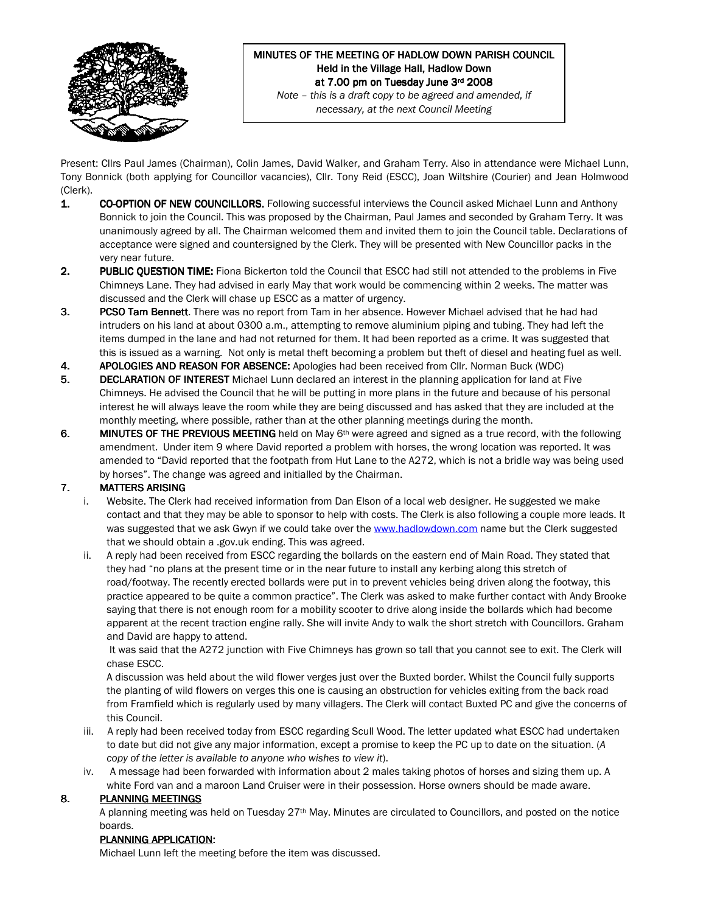

# MINUTES OF THE MEETING OF HADLOW DOWN PARISH COUNCIL Held in the Village Hall, Hadlow Down at 7.00 pm on Tuesday June 3rd 2008

Note – this is a draft copy to be agreed and amended, if necessary, at the next Council Meeting

Present: Cllrs Paul James (Chairman), Colin James, David Walker, and Graham Terry. Also in attendance were Michael Lunn, Tony Bonnick (both applying for Councillor vacancies), Cllr. Tony Reid (ESCC), Joan Wiltshire (Courier) and Jean Holmwood (Clerk).

- 1. CO-OPTION OF NEW COUNCILLORS. Following successful interviews the Council asked Michael Lunn and Anthony Bonnick to join the Council. This was proposed by the Chairman, Paul James and seconded by Graham Terry. It was unanimously agreed by all. The Chairman welcomed them and invited them to join the Council table. Declarations of acceptance were signed and countersigned by the Clerk. They will be presented with New Councillor packs in the very near future.
- 2. PUBLIC QUESTION TIME: Fiona Bickerton told the Council that ESCC had still not attended to the problems in Five Chimneys Lane. They had advised in early May that work would be commencing within 2 weeks. The matter was discussed and the Clerk will chase up ESCC as a matter of urgency.
- 3. PCSO Tam Bennett. There was no report from Tam in her absence. However Michael advised that he had had intruders on his land at about 0300 a.m., attempting to remove aluminium piping and tubing. They had left the items dumped in the lane and had not returned for them. It had been reported as a crime. It was suggested that this is issued as a warning. Not only is metal theft becoming a problem but theft of diesel and heating fuel as well.
- 4. APOLOGIES AND REASON FOR ABSENCE: Apologies had been received from Cllr. Norman Buck (WDC)
- 5. DECLARATION OF INTEREST Michael Lunn declared an interest in the planning application for land at Five Chimneys. He advised the Council that he will be putting in more plans in the future and because of his personal interest he will always leave the room while they are being discussed and has asked that they are included at the monthly meeting, where possible, rather than at the other planning meetings during the month.
- 6. MINUTES OF THE PREVIOUS MEETING held on May  $6<sup>th</sup>$  were agreed and signed as a true record, with the following amendment. Under item 9 where David reported a problem with horses, the wrong location was reported. It was amended to "David reported that the footpath from Hut Lane to the A272, which is not a bridle way was being used by horses". The change was agreed and initialled by the Chairman.

# **7. MATTERS ARISING**

- i. Website. The Clerk had received information from Dan Elson of a local web designer. He suggested we make contact and that they may be able to sponsor to help with costs. The Clerk is also following a couple more leads. It was suggested that we ask Gwyn if we could take over the www.hadlowdown.com name but the Clerk suggested that we should obtain a .gov.uk ending. This was agreed.
- ii. A reply had been received from ESCC regarding the bollards on the eastern end of Main Road. They stated that they had "no plans at the present time or in the near future to install any kerbing along this stretch of road/footway. The recently erected bollards were put in to prevent vehicles being driven along the footway, this practice appeared to be quite a common practice". The Clerk was asked to make further contact with Andy Brooke saying that there is not enough room for a mobility scooter to drive along inside the bollards which had become apparent at the recent traction engine rally. She will invite Andy to walk the short stretch with Councillors. Graham and David are happy to attend.

 It was said that the A272 junction with Five Chimneys has grown so tall that you cannot see to exit. The Clerk will chase ESCC.

 A discussion was held about the wild flower verges just over the Buxted border. Whilst the Council fully supports the planting of wild flowers on verges this one is causing an obstruction for vehicles exiting from the back road from Framfield which is regularly used by many villagers. The Clerk will contact Buxted PC and give the concerns of this Council.

- iii. A reply had been received today from ESCC regarding Scull Wood. The letter updated what ESCC had undertaken to date but did not give any major information, except a promise to keep the PC up to date on the situation. (A copy of the letter is available to anyone who wishes to view it).
- iv. A message had been forwarded with information about 2 males taking photos of horses and sizing them up. A white Ford van and a maroon Land Cruiser were in their possession. Horse owners should be made aware.

### 8. PLANNING MEETINGS

A planning meeting was held on Tuesday 27<sup>th</sup> May. Minutes are circulated to Councillors, and posted on the notice boards.

#### PLANNING APPLICATION:

Michael Lunn left the meeting before the item was discussed.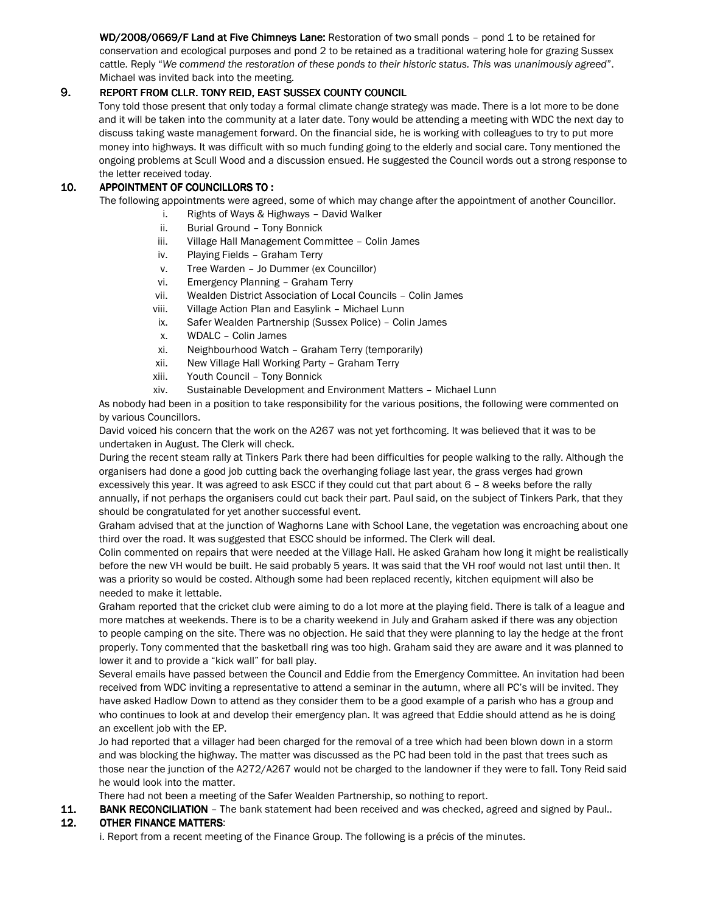WD/2008/0669/F Land at Five Chimneys Lane: Restoration of two small ponds - pond 1 to be retained for conservation and ecological purposes and pond 2 to be retained as a traditional watering hole for grazing Sussex cattle. Reply "We commend the restoration of these ponds to their historic status. This was unanimously agreed". Michael was invited back into the meeting.

### 9. REPORT FROM CLLR. TONY REID, EAST SUSSEX COUNTY COUNCIL

 Tony told those present that only today a formal climate change strategy was made. There is a lot more to be done and it will be taken into the community at a later date. Tony would be attending a meeting with WDC the next day to discuss taking waste management forward. On the financial side, he is working with colleagues to try to put more money into highways. It was difficult with so much funding going to the elderly and social care. Tony mentioned the ongoing problems at Scull Wood and a discussion ensued. He suggested the Council words out a strong response to the letter received today.

#### 10. APPOINTMENT OF COUNCILLORS TO :

The following appointments were agreed, some of which may change after the appointment of another Councillor.

- i. Rights of Ways & Highways David Walker
- ii. Burial Ground Tony Bonnick
- iii. Village Hall Management Committee Colin James
- iv. Playing Fields Graham Terry
- v. Tree Warden Jo Dummer (ex Councillor)
- vi. Emergency Planning Graham Terry
- vii. Wealden District Association of Local Councils Colin James
- viii. Village Action Plan and Easylink Michael Lunn
- ix. Safer Wealden Partnership (Sussex Police) Colin James
- x. WDALC Colin James
- xi. Neighbourhood Watch Graham Terry (temporarily)
- xii. New Village Hall Working Party Graham Terry
- xiii. Youth Council Tony Bonnick
- xiv. Sustainable Development and Environment Matters Michael Lunn

As nobody had been in a position to take responsibility for the various positions, the following were commented on by various Councillors.

David voiced his concern that the work on the A267 was not yet forthcoming. It was believed that it was to be undertaken in August. The Clerk will check.

During the recent steam rally at Tinkers Park there had been difficulties for people walking to the rally. Although the organisers had done a good job cutting back the overhanging foliage last year, the grass verges had grown excessively this year. It was agreed to ask ESCC if they could cut that part about 6 – 8 weeks before the rally annually, if not perhaps the organisers could cut back their part. Paul said, on the subject of Tinkers Park, that they should be congratulated for yet another successful event.

Graham advised that at the junction of Waghorns Lane with School Lane, the vegetation was encroaching about one third over the road. It was suggested that ESCC should be informed. The Clerk will deal.

Colin commented on repairs that were needed at the Village Hall. He asked Graham how long it might be realistically before the new VH would be built. He said probably 5 years. It was said that the VH roof would not last until then. It was a priority so would be costed. Although some had been replaced recently, kitchen equipment will also be needed to make it lettable.

Graham reported that the cricket club were aiming to do a lot more at the playing field. There is talk of a league and more matches at weekends. There is to be a charity weekend in July and Graham asked if there was any objection to people camping on the site. There was no objection. He said that they were planning to lay the hedge at the front properly. Tony commented that the basketball ring was too high. Graham said they are aware and it was planned to lower it and to provide a "kick wall" for ball play.

Several emails have passed between the Council and Eddie from the Emergency Committee. An invitation had been received from WDC inviting a representative to attend a seminar in the autumn, where all PC's will be invited. They have asked Hadlow Down to attend as they consider them to be a good example of a parish who has a group and who continues to look at and develop their emergency plan. It was agreed that Eddie should attend as he is doing an excellent job with the EP.

Jo had reported that a villager had been charged for the removal of a tree which had been blown down in a storm and was blocking the highway. The matter was discussed as the PC had been told in the past that trees such as those near the junction of the A272/A267 would not be charged to the landowner if they were to fall. Tony Reid said he would look into the matter.

There had not been a meeting of the Safer Wealden Partnership, so nothing to report.

11. BANK RECONCILIATION – The bank statement had been received and was checked, agreed and signed by Paul..

#### 12. OTHER FINANCE MATTERS:

i. Report from a recent meeting of the Finance Group. The following is a précis of the minutes.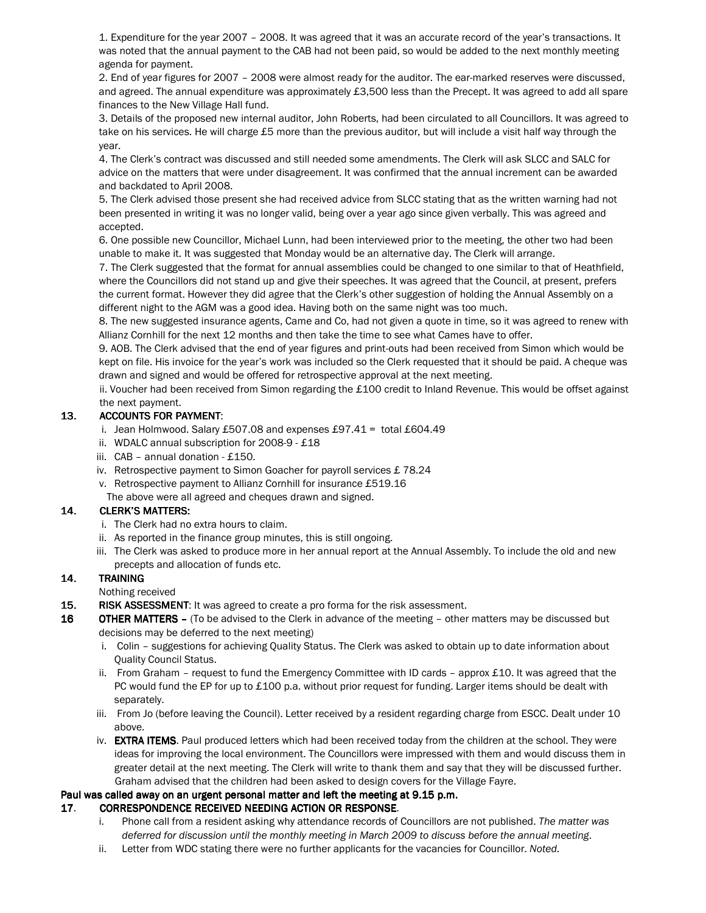1. Expenditure for the year 2007 – 2008. It was agreed that it was an accurate record of the year's transactions. It was noted that the annual payment to the CAB had not been paid, so would be added to the next monthly meeting agenda for payment.

2. End of year figures for 2007 – 2008 were almost ready for the auditor. The ear-marked reserves were discussed, and agreed. The annual expenditure was approximately £3,500 less than the Precept. It was agreed to add all spare finances to the New Village Hall fund.

3. Details of the proposed new internal auditor, John Roberts, had been circulated to all Councillors. It was agreed to take on his services. He will charge £5 more than the previous auditor, but will include a visit half way through the year.

4. The Clerk's contract was discussed and still needed some amendments. The Clerk will ask SLCC and SALC for advice on the matters that were under disagreement. It was confirmed that the annual increment can be awarded and backdated to April 2008.

5. The Clerk advised those present she had received advice from SLCC stating that as the written warning had not been presented in writing it was no longer valid, being over a year ago since given verbally. This was agreed and accepted.

6. One possible new Councillor, Michael Lunn, had been interviewed prior to the meeting, the other two had been unable to make it. It was suggested that Monday would be an alternative day. The Clerk will arrange.

7. The Clerk suggested that the format for annual assemblies could be changed to one similar to that of Heathfield, where the Councillors did not stand up and give their speeches. It was agreed that the Council, at present, prefers the current format. However they did agree that the Clerk's other suggestion of holding the Annual Assembly on a different night to the AGM was a good idea. Having both on the same night was too much.

8. The new suggested insurance agents, Came and Co, had not given a quote in time, so it was agreed to renew with Allianz Cornhill for the next 12 months and then take the time to see what Cames have to offer.

9. AOB. The Clerk advised that the end of year figures and print-outs had been received from Simon which would be kept on file. His invoice for the year's work was included so the Clerk requested that it should be paid. A cheque was drawn and signed and would be offered for retrospective approval at the next meeting.

ii. Voucher had been received from Simon regarding the £100 credit to Inland Revenue. This would be offset against the next payment.

### 13. ACCOUNTS FOR PAYMENT:

- i. Jean Holmwood. Salary £507.08 and expenses £97.41 = total £604.49
- ii. WDALC annual subscription for 2008-9 £18
- iii. CAB annual donation £150.
- iv. Retrospective payment to Simon Goacher for payroll services £ 78.24
- v. Retrospective payment to Allianz Cornhill for insurance £519.16
- The above were all agreed and cheques drawn and signed.

#### 14. CLERK'S MATTERS: CLERK'S MATTERS:

- i. The Clerk had no extra hours to claim.
- ii. As reported in the finance group minutes, this is still ongoing.
- iii. The Clerk was asked to produce more in her annual report at the Annual Assembly. To include the old and new precepts and allocation of funds etc.

# 14. TRAINING

Nothing received

- 15. RISK ASSESSMENT: It was agreed to create a pro forma for the risk assessment.
- 16 OTHER MATTERS (To be advised to the Clerk in advance of the meeting other matters may be discussed but decisions may be deferred to the next meeting)
	- i. Colin suggestions for achieving Quality Status. The Clerk was asked to obtain up to date information about Quality Council Status.
	- ii. From Graham request to fund the Emergency Committee with ID cards approx £10. It was agreed that the PC would fund the EP for up to £100 p.a. without prior request for funding. Larger items should be dealt with separately.
	- iii. From Jo (before leaving the Council). Letter received by a resident regarding charge from ESCC. Dealt under 10 above.
	- iv. EXTRA ITEMS. Paul produced letters which had been received today from the children at the school. They were ideas for improving the local environment. The Councillors were impressed with them and would discuss them in greater detail at the next meeting. The Clerk will write to thank them and say that they will be discussed further. Graham advised that the children had been asked to design covers for the Village Fayre.

#### Paul was called away on an urgent personal matter and left the meeting at 9.15 p.m.

# 17. CORRESPONDENCE RECEIVED NEEDING ACTION OR RESPONSE.

- i. Phone call from a resident asking why attendance records of Councillors are not published. The matter was deferred for discussion until the monthly meeting in March 2009 to discuss before the annual meeting.
- ii. Letter from WDC stating there were no further applicants for the vacancies for Councillor. Noted.